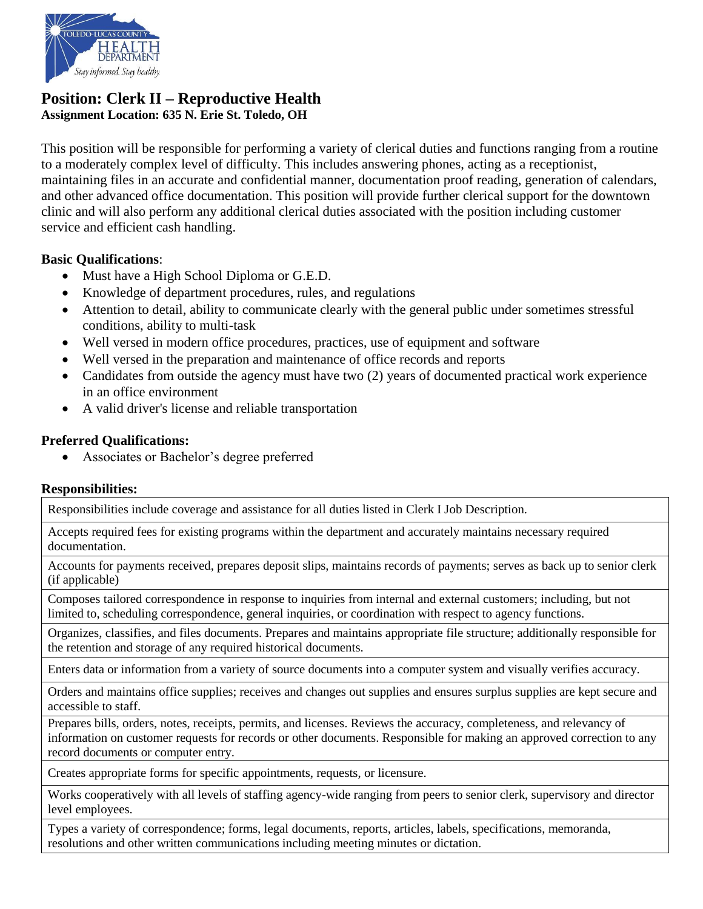

### **Position: Clerk II – Reproductive Health Assignment Location: 635 N. Erie St. Toledo, OH**

This position will be responsible for performing a variety of clerical duties and functions ranging from a routine to a moderately complex level of difficulty. This includes answering phones, acting as a receptionist, maintaining files in an accurate and confidential manner, documentation proof reading, generation of calendars, and other advanced office documentation. This position will provide further clerical support for the downtown clinic and will also perform any additional clerical duties associated with the position including customer service and efficient cash handling.

#### **Basic Qualifications**:

- Must have a High School Diploma or G.E.D.
- Knowledge of department procedures, rules, and regulations
- Attention to detail, ability to communicate clearly with the general public under sometimes stressful conditions, ability to multi-task
- Well versed in modern office procedures, practices, use of equipment and software
- Well versed in the preparation and maintenance of office records and reports
- Candidates from outside the agency must have two (2) years of documented practical work experience in an office environment
- A valid driver's license and reliable transportation

#### **Preferred Qualifications:**

Associates or Bachelor's degree preferred

#### **Responsibilities:**

Responsibilities include coverage and assistance for all duties listed in Clerk I Job Description.

Accepts required fees for existing programs within the department and accurately maintains necessary required documentation.

Accounts for payments received, prepares deposit slips, maintains records of payments; serves as back up to senior clerk (if applicable)

Composes tailored correspondence in response to inquiries from internal and external customers; including, but not limited to, scheduling correspondence, general inquiries, or coordination with respect to agency functions.

Organizes, classifies, and files documents. Prepares and maintains appropriate file structure; additionally responsible for the retention and storage of any required historical documents.

Enters data or information from a variety of source documents into a computer system and visually verifies accuracy.

Orders and maintains office supplies; receives and changes out supplies and ensures surplus supplies are kept secure and accessible to staff.

Prepares bills, orders, notes, receipts, permits, and licenses. Reviews the accuracy, completeness, and relevancy of information on customer requests for records or other documents. Responsible for making an approved correction to any record documents or computer entry.

Creates appropriate forms for specific appointments, requests, or licensure.

Works cooperatively with all levels of staffing agency-wide ranging from peers to senior clerk, supervisory and director level employees.

Types a variety of correspondence; forms, legal documents, reports, articles, labels, specifications, memoranda, resolutions and other written communications including meeting minutes or dictation.